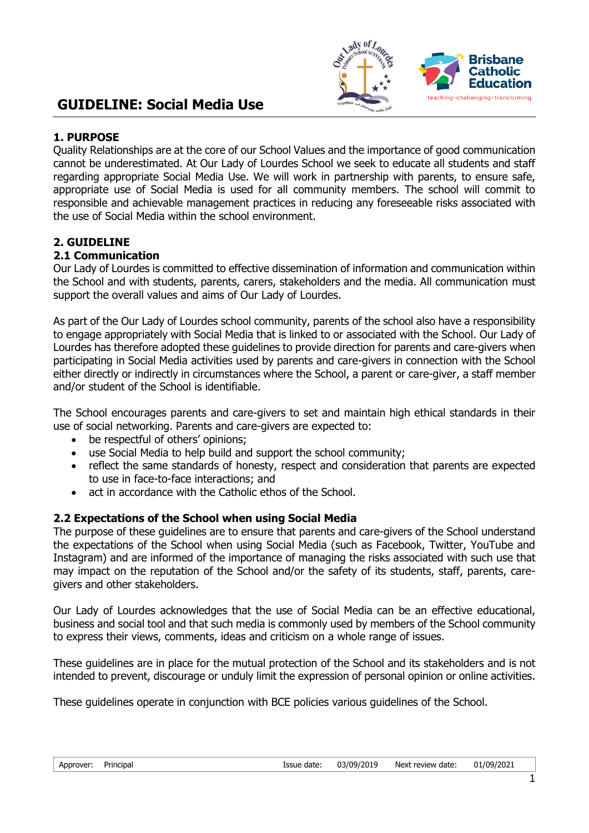

# **1. PURPOSE**

Quality Relationships are at the core of our School Values and the importance of good communication cannot be underestimated. At Our Lady of Lourdes School we seek to educate all students and staff regarding appropriate Social Media Use. We will work in partnership with parents, to ensure safe, appropriate use of Social Media is used for all community members. The school will commit to responsible and achievable management practices in reducing any foreseeable risks associated with the use of Social Media within the school environment.

# **2. GUIDELINE**

# **2.1 Communication**

Our Lady of Lourdes is committed to effective dissemination of information and communication within the School and with students, parents, carers, stakeholders and the media. All communication must support the overall values and aims of Our Lady of Lourdes.

As part of the Our Lady of Lourdes school community, parents of the school also have a responsibility to engage appropriately with Social Media that is linked to or associated with the School. Our Lady of Lourdes has therefore adopted these guidelines to provide direction for parents and care-givers when participating in Social Media activities used by parents and care-givers in connection with the School either directly or indirectly in circumstances where the School, a parent or care-giver, a staff member and/or student of the School is identifiable.

The School encourages parents and care-givers to set and maintain high ethical standards in their use of social networking. Parents and care-givers are expected to:

- be respectful of others' opinions:
- use Social Media to help build and support the school community;
- reflect the same standards of honesty, respect and consideration that parents are expected to use in face-to-face interactions; and
- act in accordance with the Catholic ethos of the School.

# **2.2 Expectations of the School when using Social Media**

The purpose of these guidelines are to ensure that parents and care-givers of the School understand the expectations of the School when using Social Media (such as Facebook, Twitter, YouTube and Instagram) and are informed of the importance of managing the risks associated with such use that may impact on the reputation of the School and/or the safety of its students, staff, parents, caregivers and other stakeholders.

Our Lady of Lourdes acknowledges that the use of Social Media can be an effective educational, business and social tool and that such media is commonly used by members of the School community to express their views, comments, ideas and criticism on a whole range of issues.

These guidelines are in place for the mutual protection of the School and its stakeholders and is not intended to prevent, discourage or unduly limit the expression of personal opinion or online activities.

These guidelines operate in conjunction with BCE policies various guidelines of the School.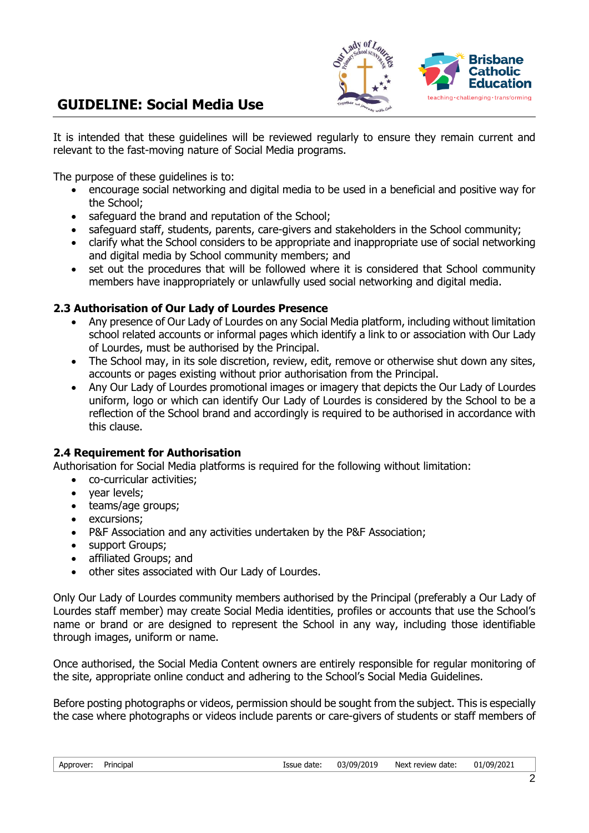

# **GUIDELINE: Social Media Use**

It is intended that these guidelines will be reviewed regularly to ensure they remain current and relevant to the fast-moving nature of Social Media programs.

The purpose of these guidelines is to:

- encourage social networking and digital media to be used in a beneficial and positive way for the School;
- safeguard the brand and reputation of the School;
- safeguard staff, students, parents, care-givers and stakeholders in the School community;
- clarify what the School considers to be appropriate and inappropriate use of social networking and digital media by School community members; and
- set out the procedures that will be followed where it is considered that School community members have inappropriately or unlawfully used social networking and digital media.

#### **2.3 Authorisation of Our Lady of Lourdes Presence**

- Any presence of Our Lady of Lourdes on any Social Media platform, including without limitation school related accounts or informal pages which identify a link to or association with Our Lady of Lourdes, must be authorised by the Principal.
- The School may, in its sole discretion, review, edit, remove or otherwise shut down any sites, accounts or pages existing without prior authorisation from the Principal.
- Any Our Lady of Lourdes promotional images or imagery that depicts the Our Lady of Lourdes uniform, logo or which can identify Our Lady of Lourdes is considered by the School to be a reflection of the School brand and accordingly is required to be authorised in accordance with this clause.

# **2.4 Requirement for Authorisation**

Authorisation for Social Media platforms is required for the following without limitation:

- co-curricular activities;
- year levels;
- teams/age groups;
- excursions;
- P&F Association and any activities undertaken by the P&F Association;
- support Groups;
- affiliated Groups; and
- other sites associated with Our Lady of Lourdes.

Only Our Lady of Lourdes community members authorised by the Principal (preferably a Our Lady of Lourdes staff member) may create Social Media identities, profiles or accounts that use the School's name or brand or are designed to represent the School in any way, including those identifiable through images, uniform or name.

Once authorised, the Social Media Content owners are entirely responsible for regular monitoring of the site, appropriate online conduct and adhering to the School's Social Media Guidelines.

Before posting photographs or videos, permission should be sought from the subject. This is especially the case where photographs or videos include parents or care-givers of students or staff members of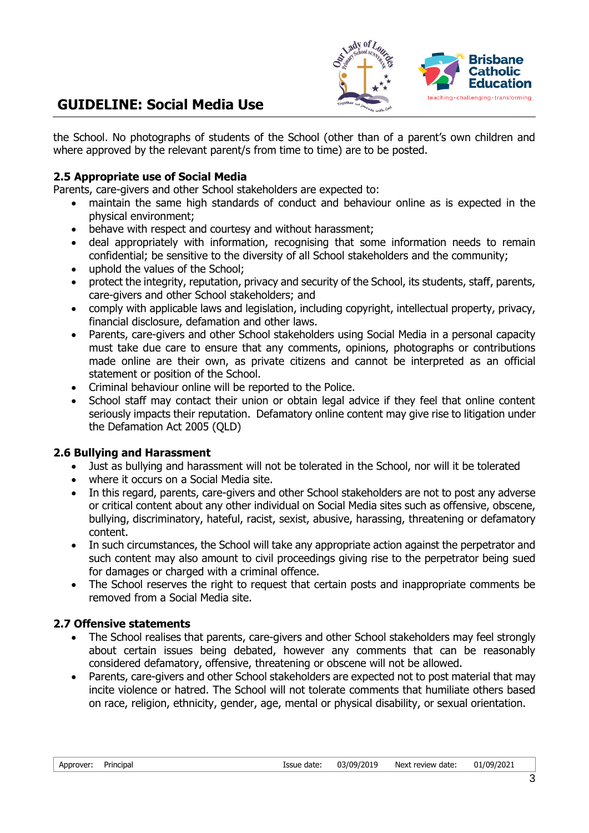

# **GUIDELINE: Social Media Use**

the School. No photographs of students of the School (other than of a parent's own children and where approved by the relevant parent/s from time to time) are to be posted.

#### **2.5 Appropriate use of Social Media**

Parents, care-givers and other School stakeholders are expected to:

- maintain the same high standards of conduct and behaviour online as is expected in the physical environment;
- behave with respect and courtesy and without harassment;
- deal appropriately with information, recognising that some information needs to remain confidential; be sensitive to the diversity of all School stakeholders and the community;
- uphold the values of the School;
- protect the integrity, reputation, privacy and security of the School, its students, staff, parents, care-givers and other School stakeholders; and
- comply with applicable laws and legislation, including copyright, intellectual property, privacy, financial disclosure, defamation and other laws.
- Parents, care-givers and other School stakeholders using Social Media in a personal capacity must take due care to ensure that any comments, opinions, photographs or contributions made online are their own, as private citizens and cannot be interpreted as an official statement or position of the School.
- Criminal behaviour online will be reported to the Police.
- School staff may contact their union or obtain legal advice if they feel that online content seriously impacts their reputation. Defamatory online content may give rise to litigation under the Defamation Act 2005 (QLD)

#### **2.6 Bullying and Harassment**

- Just as bullying and harassment will not be tolerated in the School, nor will it be tolerated
- where it occurs on a Social Media site.
- In this regard, parents, care-givers and other School stakeholders are not to post any adverse or critical content about any other individual on Social Media sites such as offensive, obscene, bullying, discriminatory, hateful, racist, sexist, abusive, harassing, threatening or defamatory content.
- In such circumstances, the School will take any appropriate action against the perpetrator and such content may also amount to civil proceedings giving rise to the perpetrator being sued for damages or charged with a criminal offence.
- The School reserves the right to request that certain posts and inappropriate comments be removed from a Social Media site.

#### **2.7 Offensive statements**

- The School realises that parents, care-givers and other School stakeholders may feel strongly about certain issues being debated, however any comments that can be reasonably considered defamatory, offensive, threatening or obscene will not be allowed.
- Parents, care-givers and other School stakeholders are expected not to post material that may incite violence or hatred. The School will not tolerate comments that humiliate others based on race, religion, ethnicity, gender, age, mental or physical disability, or sexual orientation.